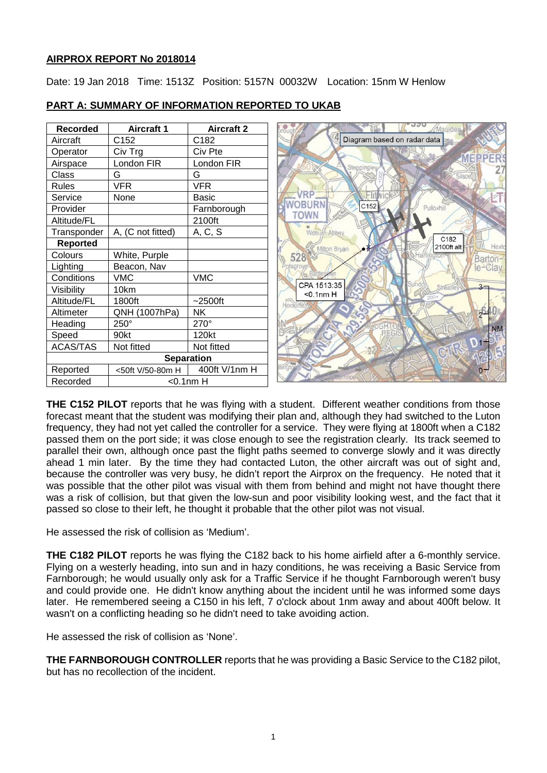#### **AIRPROX REPORT No 2018014**

Date: 19 Jan 2018 Time: 1513Z Position: 5157N 00032W Location: 15nm W Henlow

| <b>Recorded</b>   | <b>Aircraft 1</b> | <b>Aircraft 2</b> | Maulden                                         |
|-------------------|-------------------|-------------------|-------------------------------------------------|
| Aircraft          | C152              | C182              | Diagram based on radar data                     |
| Operator          | Civ Trg           | Civ Pte           |                                                 |
| Airspace          | London FIR        | London FIR        | <b>MEPPER</b><br>Steppingley                    |
| Class             | G                 | G                 | ilsoe                                           |
| <b>Rules</b>      | <b>VFR</b>        | <b>VFR</b>        |                                                 |
| Service           | None              | <b>Basic</b>      | 'RP                                             |
| Provider          |                   | Farnborough       | C152<br>Pulloxhill                              |
| Altitude/FL       |                   | 2100ft            |                                                 |
| Transponder       | A, (C not fitted) | A, C, S           | <b>Woburn Abbey</b>                             |
| <b>Reported</b>   |                   |                   | C182<br>Hexto<br>2100ft alt<br>Milton Bryan     |
| Colours           | White, Purple     |                   | 528<br>Barton-                                  |
| Lighting          | Beacon, Nav       |                   | $e$ <sup>-</sup> $C$ lav<br>otsgro              |
| Conditions        | <b>VMC</b>        | <b>VMC</b>        |                                                 |
| Visibility        | 10km              |                   | CPA 1513:35<br>$3 -$<br>Streatle<br>$<$ 0.1nm H |
| Altitude/FL       | 1800ft            | $-2500$ ft        | <b>Hockliffe</b>                                |
| Altimeter         | QNH (1007hPa)     | <b>NK</b>         | $2^{\circ}$                                     |
| Heading           | 250°              | $270^\circ$       | <b>NM</b>                                       |
| Speed             | 90kt              | 120kt             |                                                 |
| <b>ACAS/TAS</b>   | Not fitted        | Not fitted        | 01                                              |
| <b>Separation</b> |                   |                   |                                                 |
| Reported          | <50ft V/50-80m H  | 400ft V/1nm H     |                                                 |
| Recorded          | $<$ 0.1nm $H$     |                   |                                                 |

## **PART A: SUMMARY OF INFORMATION REPORTED TO UKAB**

**THE C152 PILOT** reports that he was flying with a student. Different weather conditions from those forecast meant that the student was modifying their plan and, although they had switched to the Luton frequency, they had not yet called the controller for a service. They were flying at 1800ft when a C182 passed them on the port side; it was close enough to see the registration clearly. Its track seemed to parallel their own, although once past the flight paths seemed to converge slowly and it was directly ahead 1 min later. By the time they had contacted Luton, the other aircraft was out of sight and, because the controller was very busy, he didn't report the Airprox on the frequency. He noted that it was possible that the other pilot was visual with them from behind and might not have thought there was a risk of collision, but that given the low-sun and poor visibility looking west, and the fact that it passed so close to their left, he thought it probable that the other pilot was not visual.

He assessed the risk of collision as 'Medium'.

**THE C182 PILOT** reports he was flying the C182 back to his home airfield after a 6-monthly service. Flying on a westerly heading, into sun and in hazy conditions, he was receiving a Basic Service from Farnborough; he would usually only ask for a Traffic Service if he thought Farnborough weren't busy and could provide one. He didn't know anything about the incident until he was informed some days later. He remembered seeing a C150 in his left, 7 o'clock about 1nm away and about 400ft below. It wasn't on a conflicting heading so he didn't need to take avoiding action.

He assessed the risk of collision as 'None'.

**THE FARNBOROUGH CONTROLLER** reports that he was providing a Basic Service to the C182 pilot, but has no recollection of the incident.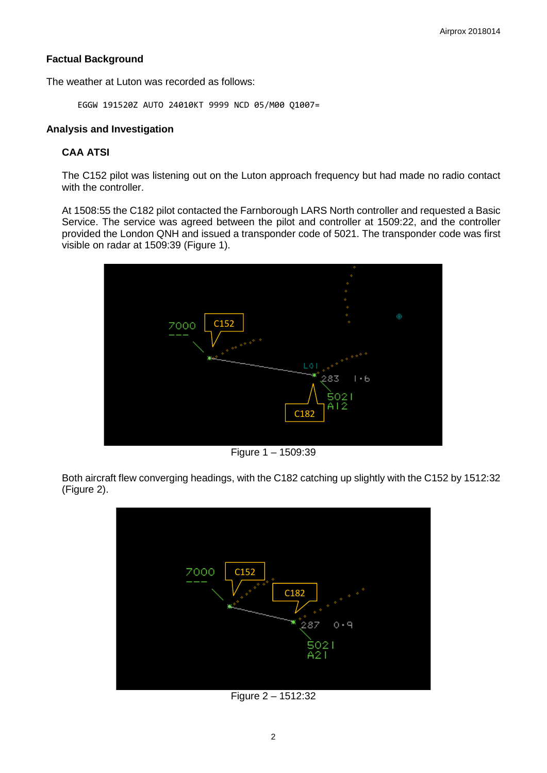### **Factual Background**

The weather at Luton was recorded as follows:

EGGW 191520Z AUTO 24010KT 9999 NCD 05/M00 Q1007=

#### **Analysis and Investigation**

### **CAA ATSI**

The C152 pilot was listening out on the Luton approach frequency but had made no radio contact with the controller.

At 1508:55 the C182 pilot contacted the Farnborough LARS North controller and requested a Basic Service. The service was agreed between the pilot and controller at 1509:22, and the controller provided the London QNH and issued a transponder code of 5021. The transponder code was first visible on radar at 1509:39 (Figure 1).



Figure 1 – 1509:39

Both aircraft flew converging headings, with the C182 catching up slightly with the C152 by 1512:32 (Figure 2).



Figure 2 – 1512:32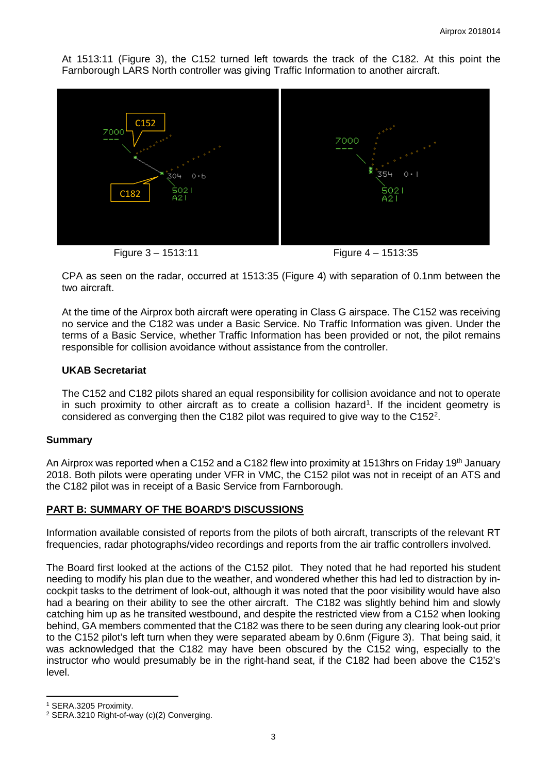At 1513:11 (Figure 3), the C152 turned left towards the track of the C182. At this point the Farnborough LARS North controller was giving Traffic Information to another aircraft.



Figure 3 – 1513:11 Figure 4 – 1513:35

CPA as seen on the radar, occurred at 1513:35 (Figure 4) with separation of 0.1nm between the two aircraft.

At the time of the Airprox both aircraft were operating in Class G airspace. The C152 was receiving no service and the C182 was under a Basic Service. No Traffic Information was given. Under the terms of a Basic Service, whether Traffic Information has been provided or not, the pilot remains responsible for collision avoidance without assistance from the controller.

### **UKAB Secretariat**

The C152 and C182 pilots shared an equal responsibility for collision avoidance and not to operate in such proximity to other aircraft as to create a collision hazard<sup>[1](#page-2-0)</sup>. If the incident geometry is considered as converging then the C18[2](#page-2-1) pilot was required to give way to the C152<sup>2</sup>.

### **Summary**

An Airprox was reported when a C152 and a C182 flew into proximity at 1513hrs on Friday 19<sup>th</sup> January 2018. Both pilots were operating under VFR in VMC, the C152 pilot was not in receipt of an ATS and the C182 pilot was in receipt of a Basic Service from Farnborough.

### **PART B: SUMMARY OF THE BOARD'S DISCUSSIONS**

Information available consisted of reports from the pilots of both aircraft, transcripts of the relevant RT frequencies, radar photographs/video recordings and reports from the air traffic controllers involved.

The Board first looked at the actions of the C152 pilot. They noted that he had reported his student needing to modify his plan due to the weather, and wondered whether this had led to distraction by incockpit tasks to the detriment of look-out, although it was noted that the poor visibility would have also had a bearing on their ability to see the other aircraft. The C182 was slightly behind him and slowly catching him up as he transited westbound, and despite the restricted view from a C152 when looking behind, GA members commented that the C182 was there to be seen during any clearing look-out prior to the C152 pilot's left turn when they were separated abeam by 0.6nm (Figure 3). That being said, it was acknowledged that the C182 may have been obscured by the C152 wing, especially to the instructor who would presumably be in the right-hand seat, if the C182 had been above the C152's level.

l

<span id="page-2-0"></span><sup>1</sup> SERA.3205 Proximity.

<span id="page-2-1"></span><sup>2</sup> SERA.3210 Right-of-way (c)(2) Converging.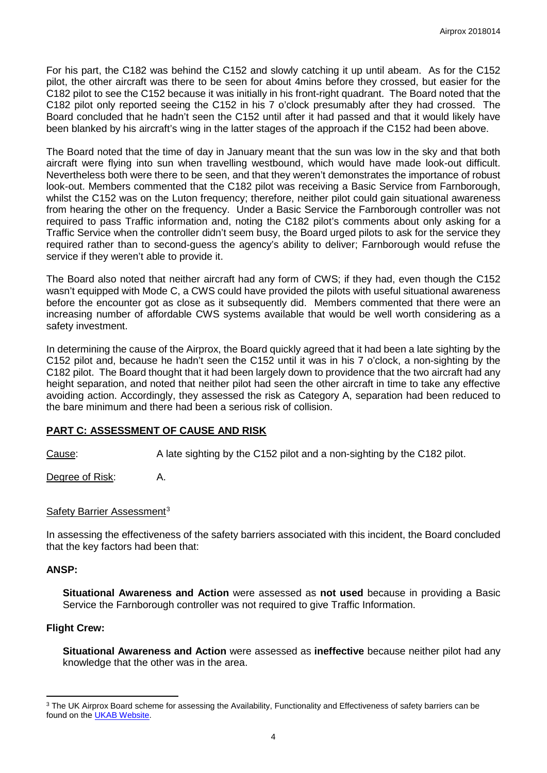For his part, the C182 was behind the C152 and slowly catching it up until abeam. As for the C152 pilot, the other aircraft was there to be seen for about 4mins before they crossed, but easier for the C182 pilot to see the C152 because it was initially in his front-right quadrant. The Board noted that the C182 pilot only reported seeing the C152 in his 7 o'clock presumably after they had crossed. The Board concluded that he hadn't seen the C152 until after it had passed and that it would likely have been blanked by his aircraft's wing in the latter stages of the approach if the C152 had been above.

The Board noted that the time of day in January meant that the sun was low in the sky and that both aircraft were flying into sun when travelling westbound, which would have made look-out difficult. Nevertheless both were there to be seen, and that they weren't demonstrates the importance of robust look-out. Members commented that the C182 pilot was receiving a Basic Service from Farnborough, whilst the C152 was on the Luton frequency; therefore, neither pilot could gain situational awareness from hearing the other on the frequency. Under a Basic Service the Farnborough controller was not required to pass Traffic information and, noting the C182 pilot's comments about only asking for a Traffic Service when the controller didn't seem busy, the Board urged pilots to ask for the service they required rather than to second-guess the agency's ability to deliver; Farnborough would refuse the service if they weren't able to provide it.

The Board also noted that neither aircraft had any form of CWS; if they had, even though the C152 wasn't equipped with Mode C, a CWS could have provided the pilots with useful situational awareness before the encounter got as close as it subsequently did. Members commented that there were an increasing number of affordable CWS systems available that would be well worth considering as a safety investment.

In determining the cause of the Airprox, the Board quickly agreed that it had been a late sighting by the C152 pilot and, because he hadn't seen the C152 until it was in his 7 o'clock, a non-sighting by the C182 pilot. The Board thought that it had been largely down to providence that the two aircraft had any height separation, and noted that neither pilot had seen the other aircraft in time to take any effective avoiding action. Accordingly, they assessed the risk as Category A, separation had been reduced to the bare minimum and there had been a serious risk of collision.

### **PART C: ASSESSMENT OF CAUSE AND RISK**

Cause: A late sighting by the C152 pilot and a non-sighting by the C182 pilot.

Degree of Risk: A.

### Safety Barrier Assessment<sup>[3](#page-3-0)</sup>

In assessing the effectiveness of the safety barriers associated with this incident, the Board concluded that the key factors had been that:

### **ANSP:**

l

**Situational Awareness and Action** were assessed as **not used** because in providing a Basic Service the Farnborough controller was not required to give Traffic Information.

# **Flight Crew:**

**Situational Awareness and Action** were assessed as **ineffective** because neither pilot had any knowledge that the other was in the area.

<span id="page-3-0"></span><sup>&</sup>lt;sup>3</sup> The UK Airprox Board scheme for assessing the Availability, Functionality and Effectiveness of safety barriers can be found on the **UKAB Website**.